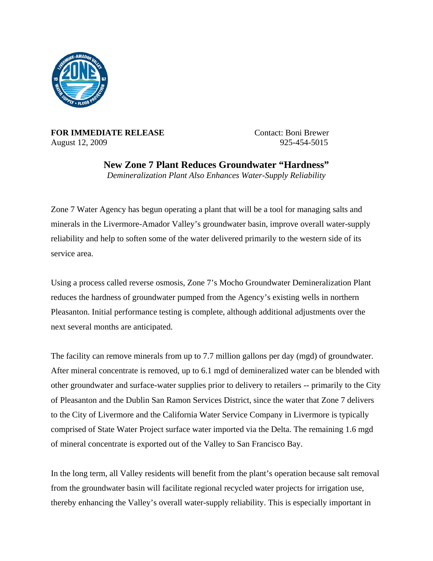

**FOR IMMEDIATE RELEASE** Contact: Boni Brewer August 12, 2009 925-454-5015

**New Zone 7 Plant Reduces Groundwater "Hardness"**  *Demineralization Plant Also Enhances Water-Supply Reliability* 

Zone 7 Water Agency has begun operating a plant that will be a tool for managing salts and minerals in the Livermore-Amador Valley's groundwater basin, improve overall water-supply reliability and help to soften some of the water delivered primarily to the western side of its service area.

Using a process called reverse osmosis, Zone 7's Mocho Groundwater Demineralization Plant reduces the hardness of groundwater pumped from the Agency's existing wells in northern Pleasanton. Initial performance testing is complete, although additional adjustments over the next several months are anticipated.

The facility can remove minerals from up to 7.7 million gallons per day (mgd) of groundwater. After mineral concentrate is removed, up to 6.1 mgd of demineralized water can be blended with other groundwater and surface-water supplies prior to delivery to retailers -- primarily to the City of Pleasanton and the Dublin San Ramon Services District, since the water that Zone 7 delivers to the City of Livermore and the California Water Service Company in Livermore is typically comprised of State Water Project surface water imported via the Delta. The remaining 1.6 mgd of mineral concentrate is exported out of the Valley to San Francisco Bay.

In the long term, all Valley residents will benefit from the plant's operation because salt removal from the groundwater basin will facilitate regional recycled water projects for irrigation use, thereby enhancing the Valley's overall water-supply reliability. This is especially important in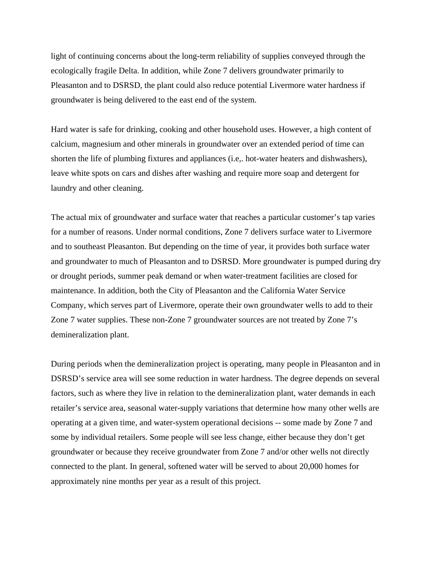light of continuing concerns about the long-term reliability of supplies conveyed through the ecologically fragile Delta. In addition, while Zone 7 delivers groundwater primarily to Pleasanton and to DSRSD, the plant could also reduce potential Livermore water hardness if groundwater is being delivered to the east end of the system.

Hard water is safe for drinking, cooking and other household uses. However, a high content of calcium, magnesium and other minerals in groundwater over an extended period of time can shorten the life of plumbing fixtures and appliances (i.e,. hot-water heaters and dishwashers), leave white spots on cars and dishes after washing and require more soap and detergent for laundry and other cleaning.

The actual mix of groundwater and surface water that reaches a particular customer's tap varies for a number of reasons. Under normal conditions, Zone 7 delivers surface water to Livermore and to southeast Pleasanton. But depending on the time of year, it provides both surface water and groundwater to much of Pleasanton and to DSRSD. More groundwater is pumped during dry or drought periods, summer peak demand or when water-treatment facilities are closed for maintenance. In addition, both the City of Pleasanton and the California Water Service Company, which serves part of Livermore, operate their own groundwater wells to add to their Zone 7 water supplies. These non-Zone 7 groundwater sources are not treated by Zone 7's demineralization plant.

During periods when the demineralization project is operating, many people in Pleasanton and in DSRSD's service area will see some reduction in water hardness. The degree depends on several factors, such as where they live in relation to the demineralization plant, water demands in each retailer's service area, seasonal water-supply variations that determine how many other wells are operating at a given time, and water-system operational decisions -- some made by Zone 7 and some by individual retailers. Some people will see less change, either because they don't get groundwater or because they receive groundwater from Zone 7 and/or other wells not directly connected to the plant. In general, softened water will be served to about 20,000 homes for approximately nine months per year as a result of this project.